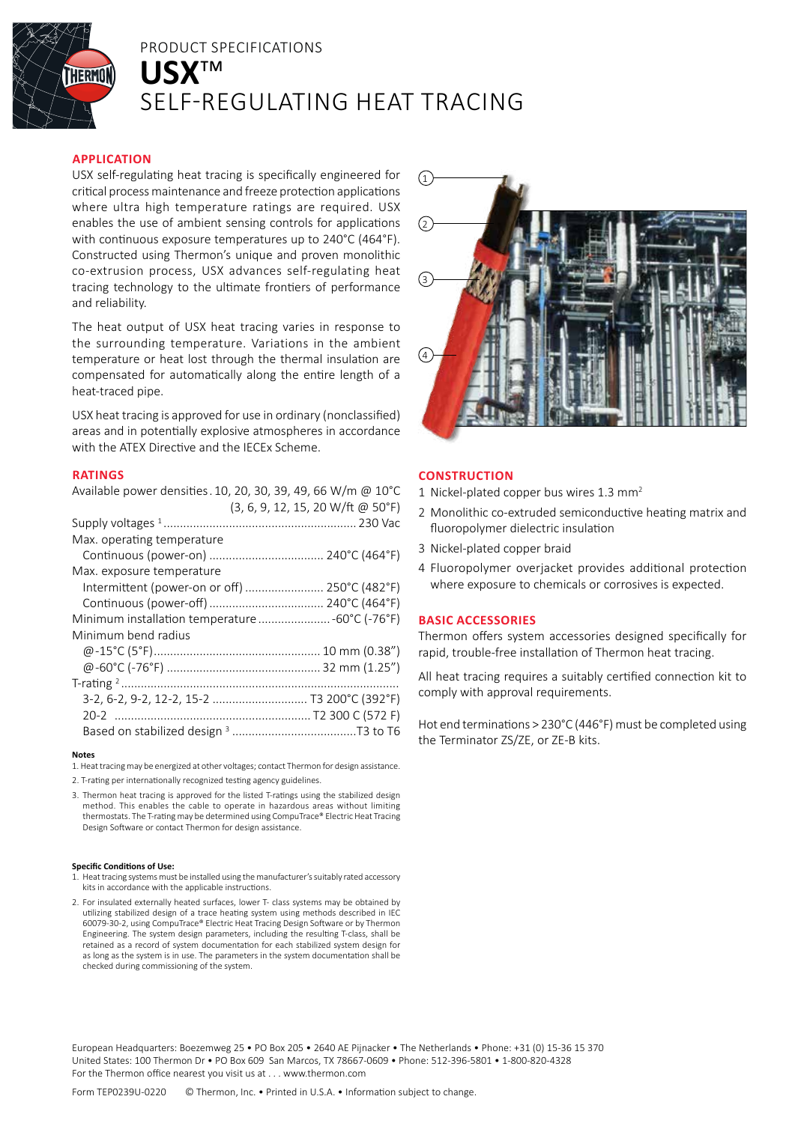

# PRODUCT SPECIFICATIONS **USX**™ SELF-REGULATING HEAT TRACING

# **APPLICATION**

USX self-regulating heat tracing is specifically engineered for critical process maintenance and freeze protection applications where ultra high temperature ratings are required. USX enables the use of ambient sensing controls for applications with continuous exposure temperatures up to 240°C (464°F). Constructed using Thermon's unique and proven monolithic co-extrusion process, USX advances self-regulating heat tracing technology to the ultimate frontiers of performance and reliability.

The heat output of USX heat tracing varies in response to the surrounding temperature. Variations in the ambient temperature or heat lost through the thermal insulation are compensated for automatically along the entire length of a heat-traced pipe.

USX heat tracing is approved for use in ordinary (nonclassified) areas and in potentially explosive atmospheres in accordance with the ATEX Directive and the IECEx Scheme.

# **RATINGS**

| Available power densities. 10, 20, 30, 39, 49, 66 W/m @ 10°C |  |
|--------------------------------------------------------------|--|
| (3, 6, 9, 12, 15, 20 W/ft @ 50°F)                            |  |
|                                                              |  |
| Max. operating temperature                                   |  |
|                                                              |  |
| Max. exposure temperature                                    |  |
| Intermittent (power-on or off)  250°C (482°F)                |  |
|                                                              |  |
| Minimum installation temperature  -60°C (-76°F)              |  |
| Minimum bend radius                                          |  |
|                                                              |  |
|                                                              |  |
|                                                              |  |
| 3-2, 6-2, 9-2, 12-2, 15-2  T3 200°C (392°F)                  |  |
|                                                              |  |
|                                                              |  |
|                                                              |  |

**Notes**

1. Heat tracing may be energized at other voltages; contact Thermon for design assistance.

- 2. T-rating per internationally recognized testing agency guidelines.
- 3. Thermon heat tracing is approved for the listed T-ratings using the stabilized design method. This enables the cable to operate in hazardous areas without limiting thermostats. The T-rating may be determined using CompuTrace® Electric Heat Tracing Design Software or contact Thermon for design assistance.

### **Specific Conditions of Use:**

- 1. Heat tracing systems must be installed using the manufacturer's suitably rated accessory kits in accordance with the applicable instructions.
- 2. For insulated externally heated surfaces, lower T- class systems may be obtained by utilizing stabilized design of a trace heating system using methods described in IEC 60079-30-2, using CompuTrace® Electric Heat Tracing Design Software or by Thermon Engineering. The system design parameters, including the resulting T-class, shall be retained as a record of system documentation for each stabilized system design for as long as the system is in use. The parameters in the system documentation shall be checked during commissioning of the system.



# **CONSTRUCTION**

- 1 Nickel-plated copper bus wires 1.3 mm<sup>2</sup>
- 2 Monolithic co-extruded semiconductive heating matrix and fluoropolymer dielectric insulation
- 3 Nickel-plated copper braid
- 4 Fluoropolymer overjacket provides additional protection where exposure to chemicals or corrosives is expected.

## **BASIC ACCESSORIES**

Thermon offers system accessories designed specifically for rapid, trouble-free installation of Thermon heat tracing.

All heat tracing requires a suitably certified connection kit to comply with approval requirements.

Hot end terminations > 230°C (446°F) must be completed using the Terminator ZS/ZE, or ZE-B kits.

European Headquarters: Boezemweg 25 • PO Box 205 • 2640 AE Pijnacker • The Netherlands • Phone: +31 (0) 15-36 15 370 United States: 100 Thermon Dr • PO Box 609 San Marcos, TX 78667-0609 • Phone: 512-396-5801 • 1-800-820-4328 For the Thermon office nearest you visit us at . . . www.thermon.com